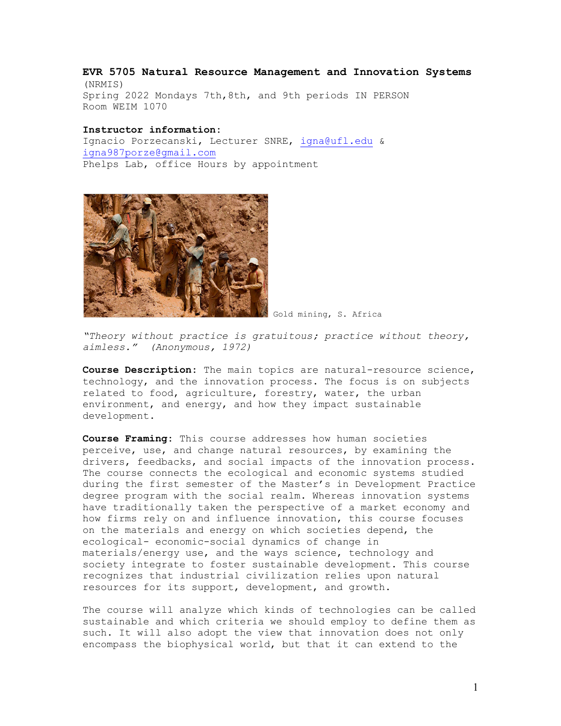**EVR 5705 Natural Resource Management and Innovation Systems** (NRMIS) Spring 2022 Mondays 7th,8th, and 9th periods IN PERSON Room WEIM 1070

**Instructor information:** Ignacio Porzecanski, Lecturer SNRE, igna@ufl.edu & igna987porze@gmail.com Phelps Lab, office Hours by appointment



Gold mining, S. Africa

*"Theory without practice is gratuitous; practice without theory, aimless." (Anonymous, 1972)* 

**Course Description:** The main topics are natural-resource science, technology, and the innovation process. The focus is on subjects related to food, agriculture, forestry, water, the urban environment, and energy, and how they impact sustainable development.

**Course Framing:** This course addresses how human societies perceive, use, and change natural resources, by examining the drivers, feedbacks, and social impacts of the innovation process. The course connects the ecological and economic systems studied during the first semester of the Master's in Development Practice degree program with the social realm. Whereas innovation systems have traditionally taken the perspective of a market economy and how firms rely on and influence innovation, this course focuses on the materials and energy on which societies depend, the ecological- economic-social dynamics of change in materials/energy use, and the ways science, technology and society integrate to foster sustainable development. This course recognizes that industrial civilization relies upon natural resources for its support, development, and growth.

The course will analyze which kinds of technologies can be called sustainable and which criteria we should employ to define them as such. It will also adopt the view that innovation does not only encompass the biophysical world, but that it can extend to the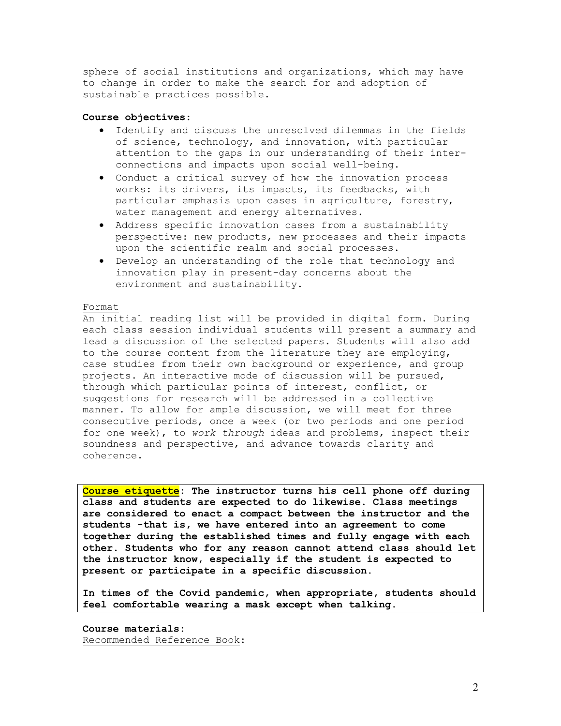sphere of social institutions and organizations, which may have to change in order to make the search for and adoption of sustainable practices possible.

### **Course objectives**:

- Identify and discuss the unresolved dilemmas in the fields of science, technology, and innovation, with particular attention to the gaps in our understanding of their interconnections and impacts upon social well-being.
- Conduct a critical survey of how the innovation process works: its drivers, its impacts, its feedbacks, with particular emphasis upon cases in agriculture, forestry, water management and energy alternatives.
- Address specific innovation cases from a sustainability perspective: new products, new processes and their impacts upon the scientific realm and social processes.
- Develop an understanding of the role that technology and innovation play in present-day concerns about the environment and sustainability.

### Format

An initial reading list will be provided in digital form. During each class session individual students will present a summary and lead a discussion of the selected papers. Students will also add to the course content from the literature they are employing, case studies from their own background or experience, and group projects. An interactive mode of discussion will be pursued, through which particular points of interest, conflict, or suggestions for research will be addressed in a collective manner. To allow for ample discussion, we will meet for three consecutive periods, once a week (or two periods and one period for one week), to *work through* ideas and problems, inspect their soundness and perspective, and advance towards clarity and coherence.

**Course etiquette: The instructor turns his cell phone off during class and students are expected to do likewise. Class meetings are considered to enact a compact between the instructor and the students -that is, we have entered into an agreement to come together during the established times and fully engage with each other. Students who for any reason cannot attend class should let the instructor know, especially if the student is expected to present or participate in a specific discussion.**

**In times of the Covid pandemic, when appropriate, students should feel comfortable wearing a mask except when talking.**

**Course materials:** Recommended Reference Book: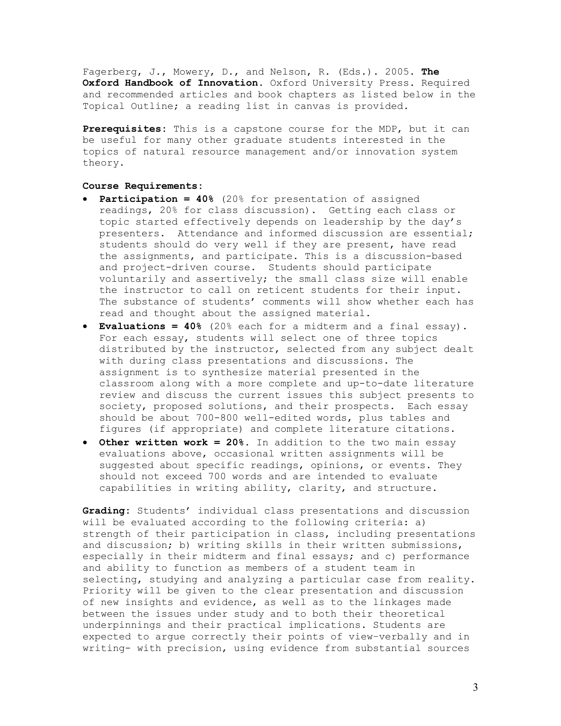Fagerberg, J., Mowery, D., and Nelson, R. (Eds.). 2005. **The Oxford Handbook of Innovation**. Oxford University Press. Required and recommended articles and book chapters as listed below in the Topical Outline; a reading list in canvas is provided.

**Prerequisites:** This is a capstone course for the MDP, but it can be useful for many other graduate students interested in the topics of natural resource management and/or innovation system theory.

## **Course Requirements:**

- **Participation = 40%** (20% for presentation of assigned readings, 20% for class discussion). Getting each class or topic started effectively depends on leadership by the day's presenters. Attendance and informed discussion are essential; students should do very well if they are present, have read the assignments, and participate. This is a discussion-based and project-driven course. Students should participate voluntarily and assertively; the small class size will enable the instructor to call on reticent students for their input. The substance of students' comments will show whether each has read and thought about the assigned material.
- **Evaluations = 40%** (20% each for a midterm and a final essay). For each essay, students will select one of three topics distributed by the instructor, selected from any subject dealt with during class presentations and discussions. The assignment is to synthesize material presented in the classroom along with a more complete and up-to-date literature review and discuss the current issues this subject presents to society, proposed solutions, and their prospects. Each essay should be about 700-800 well-edited words, plus tables and figures (if appropriate) and complete literature citations.
- **Other written work = 20%.** In addition to the two main essay evaluations above, occasional written assignments will be suggested about specific readings, opinions, or events. They should not exceed 700 words and are intended to evaluate capabilities in writing ability, clarity, and structure.

**Grading:** Students' individual class presentations and discussion will be evaluated according to the following criteria: a) strength of their participation in class, including presentations and discussion; b) writing skills in their written submissions, especially in their midterm and final essays; and c) performance and ability to function as members of a student team in selecting, studying and analyzing a particular case from reality. Priority will be given to the clear presentation and discussion of new insights and evidence, as well as to the linkages made between the issues under study and to both their theoretical underpinnings and their practical implications. Students are expected to argue correctly their points of view–verbally and in writing- with precision, using evidence from substantial sources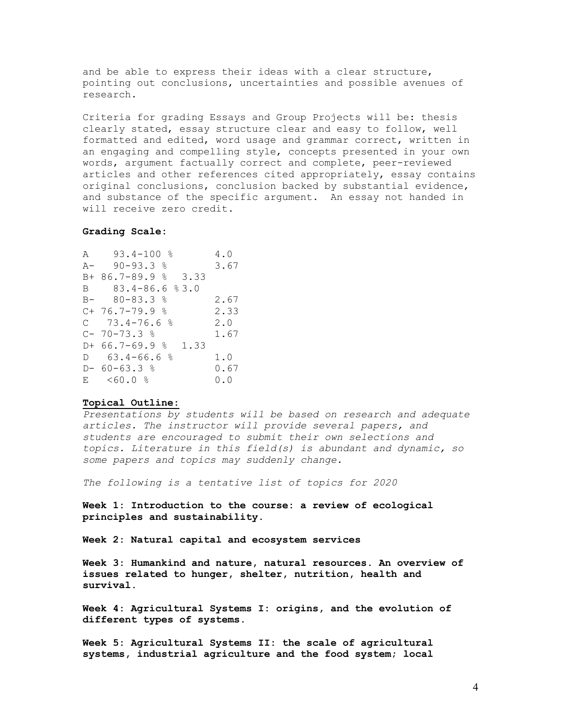and be able to express their ideas with a clear structure, pointing out conclusions, uncertainties and possible avenues of research.

Criteria for grading Essays and Group Projects will be: thesis clearly stated, essay structure clear and easy to follow, well formatted and edited, word usage and grammar correct, written in an engaging and compelling style, concepts presented in your own words, argument factually correct and complete, peer-reviewed articles and other references cited appropriately, essay contains original conclusions, conclusion backed by substantial evidence, and substance of the specific argument. An essay not handed in will receive zero credit.

### **Grading Scale:**

| A 93.4-100 %             | 4.0  |
|--------------------------|------|
| A- 90-93.3 %             | 3.67 |
| B+ 86.7-89.9 % 3.33      |      |
| B 83.4-86.6 %3.0         |      |
| $B - 80 - 83.3$ %        | 2.67 |
| $C+76.7-79.9$ 8          | 2.33 |
| $C = 73.4 - 76.6$ %      | 2.0  |
| $C-70-73.3$ %            | 1.67 |
| $D+ 66.7-69.9$ %<br>1.33 |      |
| $D = 63.4 - 66.6$ %      | 1.0  |
| $D - 60 - 63.3$ %        | 0.67 |
| E <60.0 %                | 0.0  |

### **Topical Outline:**

*Presentations by students will be based on research and adequate articles. The instructor will provide several papers, and students are encouraged to submit their own selections and topics. Literature in this field(s) is abundant and dynamic, so some papers and topics may suddenly change.*

*The following is a tentative list of topics for 2020*

**Week 1: Introduction to the course: a review of ecological principles and sustainability.** 

**Week 2: Natural capital and ecosystem services**

**Week 3: Humankind and nature, natural resources. An overview of issues related to hunger, shelter, nutrition, health and survival.**

**Week 4: Agricultural Systems I: origins, and the evolution of different types of systems.**

**Week 5: Agricultural Systems II: the scale of agricultural systems, industrial agriculture and the food system; local**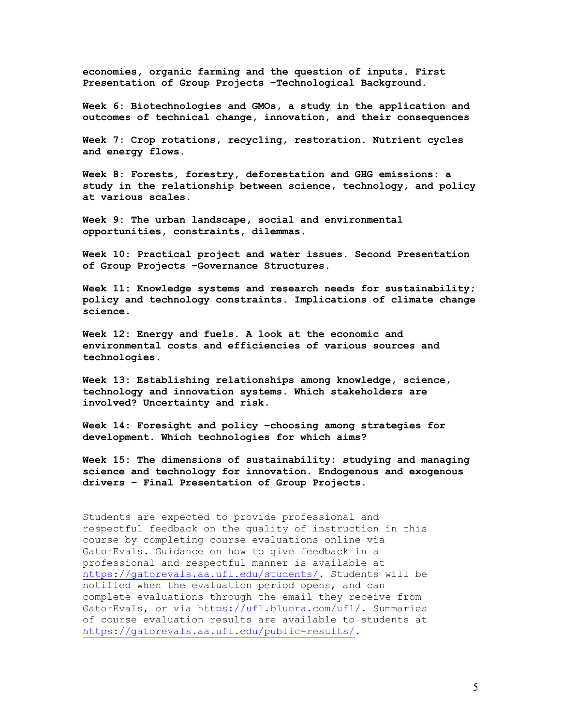**economies, organic farming and the question of inputs. First Presentation of Group Projects –Technological Background.** 

**Week 6: Biotechnologies and GMOs, a study in the application and outcomes of technical change, innovation, and their consequences**

**Week 7: Crop rotations, recycling, restoration. Nutrient cycles and energy flows.**

**Week 8: Forests, forestry, deforestation and GHG emissions: a study in the relationship between science, technology, and policy at various scales.**

**Week 9: The urban landscape, social and environmental opportunities, constraints, dilemmas.** 

**Week 10: Practical project and water issues. Second Presentation of Group Projects –Governance Structures.**

**Week 11: Knowledge systems and research needs for sustainability; policy and technology constraints. Implications of climate change science.**

**Week 12: Energy and fuels. A look at the economic and environmental costs and efficiencies of various sources and technologies.**

**Week 13: Establishing relationships among knowledge, science, technology and innovation systems. Which stakeholders are involved? Uncertainty and risk.**

**Week 14: Foresight and policy –choosing among strategies for development. Which technologies for which aims?**

**Week 15: The dimensions of sustainability: studying and managing science and technology for innovation. Endogenous and exogenous drivers – Final Presentation of Group Projects.**

Students are expected to provide professional and respectful feedback on the quality of instruction in this course by completing course evaluations online via GatorEvals. Guidance on how to give feedback in a professional and respectful manner is available at https://gatorevals.aa.ufl.edu/students/. Students will be notified when the evaluation period opens, and can complete evaluations through the email they receive from GatorEvals, or via https://ufl.bluera.com/ufl/. Summaries of course evaluation results are available to students at https://gatorevals.aa.ufl.edu/public-results/.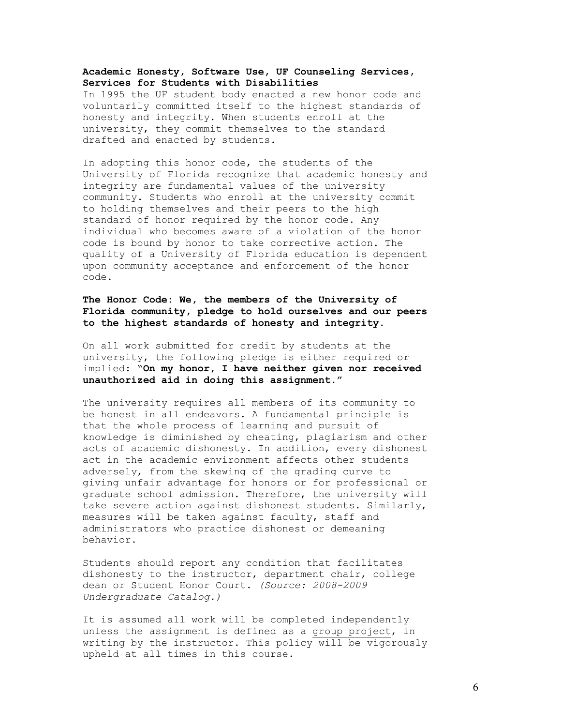# **Academic Honesty, Software Use, UF Counseling Services, Services for Students with Disabilities**

In 1995 the UF student body enacted a new honor code and voluntarily committed itself to the highest standards of honesty and integrity. When students enroll at the university, they commit themselves to the standard drafted and enacted by students.

In adopting this honor code, the students of the University of Florida recognize that academic honesty and integrity are fundamental values of the university community. Students who enroll at the university commit to holding themselves and their peers to the high standard of honor required by the honor code. Any individual who becomes aware of a violation of the honor code is bound by honor to take corrective action. The quality of a University of Florida education is dependent upon community acceptance and enforcement of the honor code.

# **The Honor Code: We, the members of the University of Florida community, pledge to hold ourselves and our peers to the highest standards of honesty and integrity.**

On all work submitted for credit by students at the university, the following pledge is either required or implied: "**On my honor, I have neither given nor received unauthorized aid in doing this assignment."** 

The university requires all members of its community to be honest in all endeavors. A fundamental principle is that the whole process of learning and pursuit of knowledge is diminished by cheating, plagiarism and other acts of academic dishonesty. In addition, every dishonest act in the academic environment affects other students adversely, from the skewing of the grading curve to giving unfair advantage for honors or for professional or graduate school admission. Therefore, the university will take severe action against dishonest students. Similarly, measures will be taken against faculty, staff and administrators who practice dishonest or demeaning behavior.

Students should report any condition that facilitates dishonesty to the instructor, department chair, college dean or Student Honor Court. *(Source: 2008-2009 Undergraduate Catalog.)*

It is assumed all work will be completed independently unless the assignment is defined as a group project, in writing by the instructor. This policy will be vigorously upheld at all times in this course.